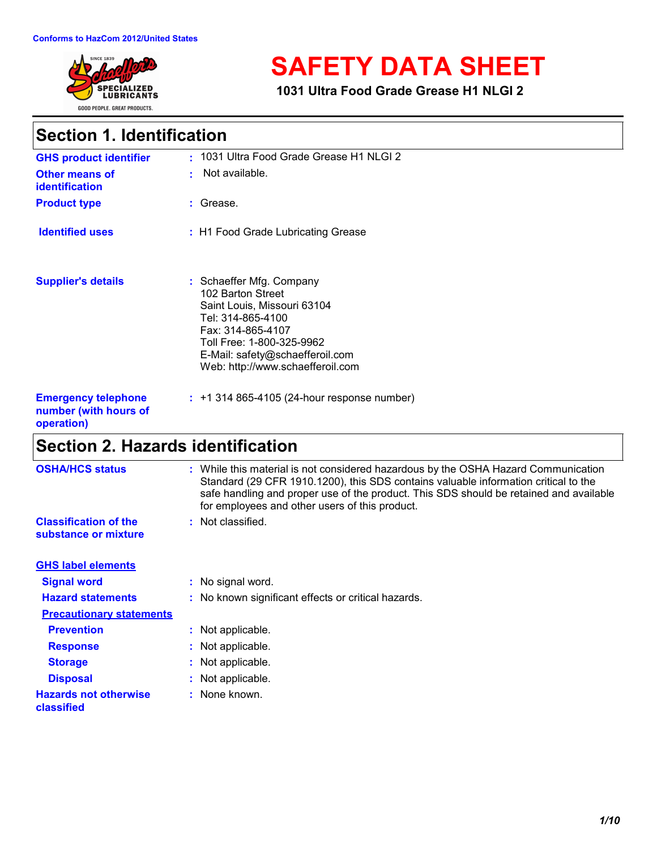

# **SAFETY DATA SHEET**

**1031 Ultra Food Grade Grease H1 NLGI 2**

## **Section 1. Identification**

| <b>GHS product identifier</b>                                     | : 1031 Ultra Food Grade Grease H1 NLGI 2                                                                                                                                                                                   |  |
|-------------------------------------------------------------------|----------------------------------------------------------------------------------------------------------------------------------------------------------------------------------------------------------------------------|--|
| Other means of<br><b>identification</b>                           | $\cdot$ Not available.                                                                                                                                                                                                     |  |
| <b>Product type</b>                                               | : Grease.                                                                                                                                                                                                                  |  |
| <b>Identified uses</b>                                            | : H1 Food Grade Lubricating Grease                                                                                                                                                                                         |  |
| <b>Supplier's details</b>                                         | : Schaeffer Mfg. Company<br>102 Barton Street<br>Saint Louis, Missouri 63104<br>Tel: 314-865-4100<br>Fax: 314-865-4107<br>Toll Free: 1-800-325-9962<br>E-Mail: safety@schaefferoil.com<br>Web: http://www.schaefferoil.com |  |
| <b>Emergency telephone</b><br>number (with hours of<br>operation) | $: 1314865 - 4105(24 - hour response number)$                                                                                                                                                                              |  |

# **Section 2. Hazards identification**

| <b>OSHA/HCS status</b>                               | : While this material is not considered hazardous by the OSHA Hazard Communication<br>Standard (29 CFR 1910.1200), this SDS contains valuable information critical to the<br>safe handling and proper use of the product. This SDS should be retained and available<br>for employees and other users of this product. |
|------------------------------------------------------|-----------------------------------------------------------------------------------------------------------------------------------------------------------------------------------------------------------------------------------------------------------------------------------------------------------------------|
| <b>Classification of the</b><br>substance or mixture | : Not classified.                                                                                                                                                                                                                                                                                                     |
| <b>GHS label elements</b>                            |                                                                                                                                                                                                                                                                                                                       |
| <b>Signal word</b>                                   | : No signal word.                                                                                                                                                                                                                                                                                                     |
| <b>Hazard statements</b>                             | : No known significant effects or critical hazards.                                                                                                                                                                                                                                                                   |
| <b>Precautionary statements</b>                      |                                                                                                                                                                                                                                                                                                                       |
| <b>Prevention</b>                                    | : Not applicable.                                                                                                                                                                                                                                                                                                     |
| <b>Response</b>                                      | : Not applicable.                                                                                                                                                                                                                                                                                                     |
| <b>Storage</b>                                       | : Not applicable.                                                                                                                                                                                                                                                                                                     |
| <b>Disposal</b>                                      | : Not applicable.                                                                                                                                                                                                                                                                                                     |
| <b>Hazards not otherwise</b><br>classified           | : None known.                                                                                                                                                                                                                                                                                                         |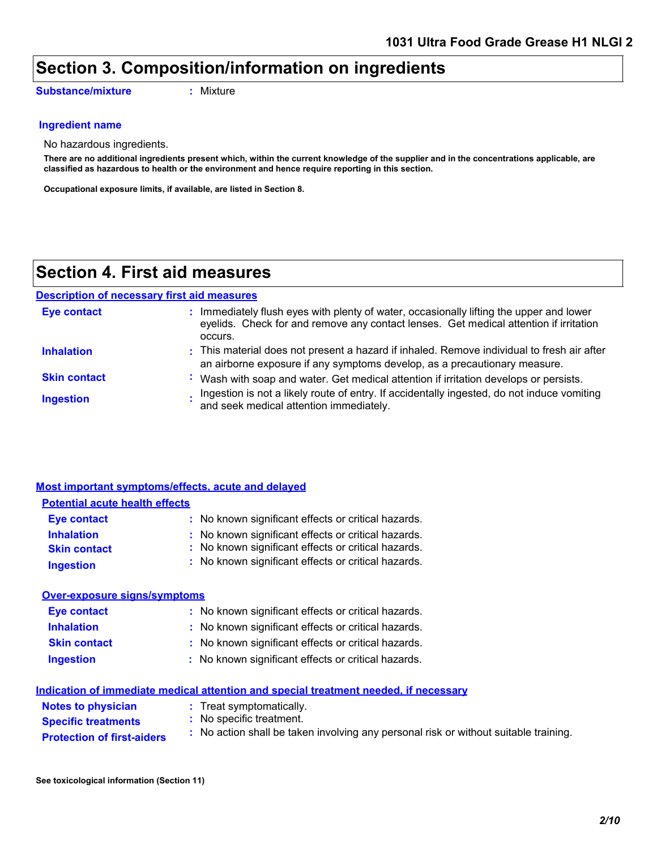## **Section 3. Composition/information on ingredients**

**Substance/mixture :** Mixture

#### **Ingredient name**

No hazardous ingredients.

**There are no additional ingredients present which, within the current knowledge of the supplier and in the concentrations applicable, are classified as hazardous to health or the environment and hence require reporting in this section.**

**Occupational exposure limits, if available, are listed in Section 8.**

### **Section 4. First aid measures**

#### **Description of necessary first aid measures**

| <b>Eye contact</b>  | : Immediately flush eyes with plenty of water, occasionally lifting the upper and lower<br>eyelids. Check for and remove any contact lenses. Get medical attention if irritation<br>occurs. |
|---------------------|---------------------------------------------------------------------------------------------------------------------------------------------------------------------------------------------|
| <b>Inhalation</b>   | : This material does not present a hazard if inhaled. Remove individual to fresh air after<br>an airborne exposure if any symptoms develop, as a precautionary measure.                     |
| <b>Skin contact</b> | : Wash with soap and water. Get medical attention if irritation develops or persists.                                                                                                       |
| <b>Ingestion</b>    | Ingestion is not a likely route of entry. If accidentally ingested, do not induce vomiting<br>and seek medical attention immediately.                                                       |

|                                       | <b>Most important symptoms/effects, acute and delayed</b>                            |
|---------------------------------------|--------------------------------------------------------------------------------------|
| <b>Potential acute health effects</b> |                                                                                      |
| Eye contact                           | : No known significant effects or critical hazards.                                  |
| <b>Inhalation</b>                     | : No known significant effects or critical hazards.                                  |
| <b>Skin contact</b>                   | : No known significant effects or critical hazards.                                  |
| <b>Ingestion</b>                      | : No known significant effects or critical hazards.                                  |
| <b>Over-exposure signs/symptoms</b>   |                                                                                      |
| <b>Eye contact</b>                    | : No known significant effects or critical hazards.                                  |
| <b>Inhalation</b>                     | : No known significant effects or critical hazards.                                  |
| <b>Skin contact</b>                   | : No known significant effects or critical hazards.                                  |
| <b>Ingestion</b>                      | : No known significant effects or critical hazards.                                  |
|                                       | Indication of immediate medical attention and special treatment needed, if necessary |
| .                                     |                                                                                      |

| <b>Notes to physician</b>         | : Treat symptomatically.                                                             |
|-----------------------------------|--------------------------------------------------------------------------------------|
| <b>Specific treatments</b>        | : No specific treatment.                                                             |
| <b>Protection of first-aiders</b> | : No action shall be taken involving any personal risk or without suitable training. |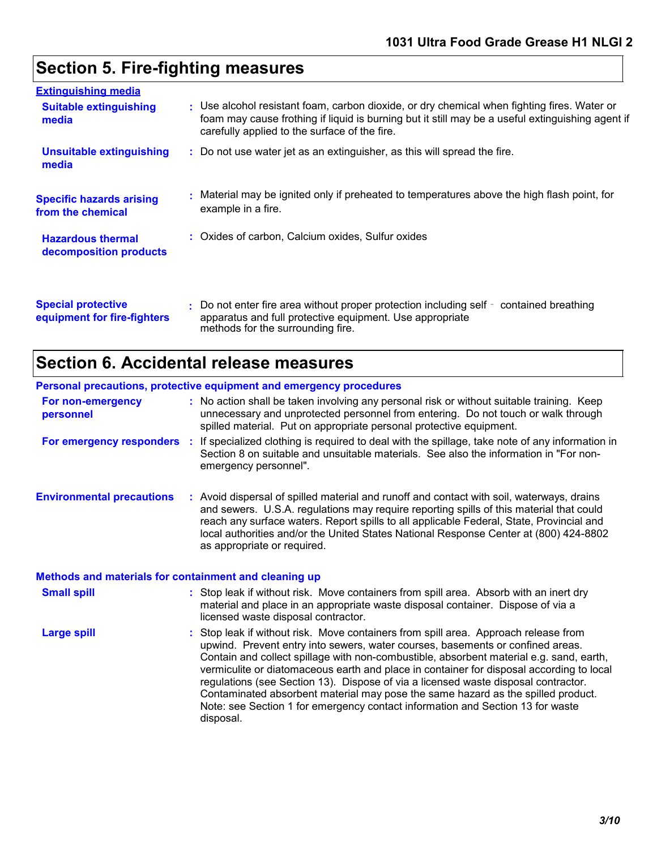## **Section 5. Fire-fighting measures**

| <b>Extinguishing media</b>                               |                                                                                                                                                                                                                                                  |
|----------------------------------------------------------|--------------------------------------------------------------------------------------------------------------------------------------------------------------------------------------------------------------------------------------------------|
| <b>Suitable extinguishing</b><br>media                   | : Use alcohol resistant foam, carbon dioxide, or dry chemical when fighting fires. Water or<br>foam may cause frothing if liquid is burning but it still may be a useful extinguishing agent if<br>carefully applied to the surface of the fire. |
| <b>Unsuitable extinguishing</b><br>media                 | : Do not use water jet as an extinguisher, as this will spread the fire.                                                                                                                                                                         |
| <b>Specific hazards arising</b><br>from the chemical     | : Material may be ignited only if preheated to temperatures above the high flash point, for<br>example in a fire.                                                                                                                                |
| <b>Hazardous thermal</b><br>decomposition products       | : Oxides of carbon, Calcium oxides, Sulfur oxides                                                                                                                                                                                                |
| <b>Special protective</b><br>equipment for fire-fighters | : Do not enter fire area without proper protection including self - contained breathing<br>apparatus and full protective equipment. Use appropriate<br>methods for the surrounding fire.                                                         |

## **Section 6. Accidental release measures**

## **Personal precautions, protective equipment and emergency procedures**

|                                                       | Personal precautions, protective equipment and emergency procedures                                                                                                                                                                                                                                                                                                                                                                                                                                                                                                                                                                   |
|-------------------------------------------------------|---------------------------------------------------------------------------------------------------------------------------------------------------------------------------------------------------------------------------------------------------------------------------------------------------------------------------------------------------------------------------------------------------------------------------------------------------------------------------------------------------------------------------------------------------------------------------------------------------------------------------------------|
| For non-emergency<br>personnel                        | : No action shall be taken involving any personal risk or without suitable training. Keep<br>unnecessary and unprotected personnel from entering. Do not touch or walk through<br>spilled material. Put on appropriate personal protective equipment.                                                                                                                                                                                                                                                                                                                                                                                 |
|                                                       | For emergency responders : If specialized clothing is required to deal with the spillage, take note of any information in<br>Section 8 on suitable and unsuitable materials. See also the information in "For non-<br>emergency personnel".                                                                                                                                                                                                                                                                                                                                                                                           |
| <b>Environmental precautions</b>                      | : Avoid dispersal of spilled material and runoff and contact with soil, waterways, drains<br>and sewers. U.S.A. regulations may require reporting spills of this material that could<br>reach any surface waters. Report spills to all applicable Federal, State, Provincial and<br>local authorities and/or the United States National Response Center at (800) 424-8802<br>as appropriate or required.                                                                                                                                                                                                                              |
| Methods and materials for containment and cleaning up |                                                                                                                                                                                                                                                                                                                                                                                                                                                                                                                                                                                                                                       |
| <b>Small spill</b>                                    | : Stop leak if without risk. Move containers from spill area. Absorb with an inert dry<br>material and place in an appropriate waste disposal container. Dispose of via a<br>licensed waste disposal contractor.                                                                                                                                                                                                                                                                                                                                                                                                                      |
| <b>Large spill</b>                                    | : Stop leak if without risk. Move containers from spill area. Approach release from<br>upwind. Prevent entry into sewers, water courses, basements or confined areas.<br>Contain and collect spillage with non-combustible, absorbent material e.g. sand, earth,<br>vermiculite or diatomaceous earth and place in container for disposal according to local<br>regulations (see Section 13). Dispose of via a licensed waste disposal contractor.<br>Contaminated absorbent material may pose the same hazard as the spilled product.<br>Note: see Section 1 for emergency contact information and Section 13 for waste<br>disposal. |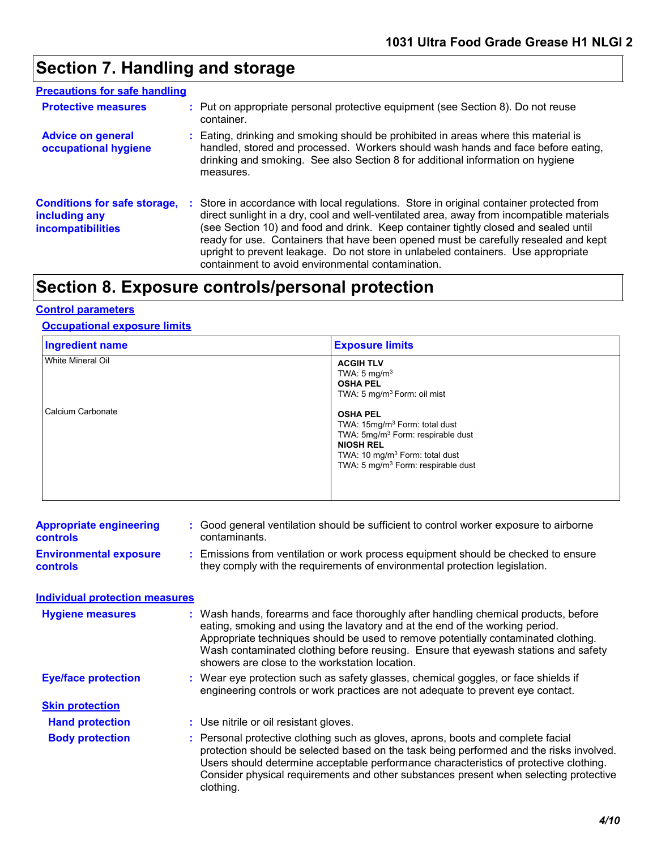## **Section 7. Handling and storage**

#### **Precautions for safe handling**

| <b>Protective measures</b>                                                       |   | : Put on appropriate personal protective equipment (see Section 8). Do not reuse<br>container.                                                                                                                                                                                                                                                                                                                                                                                                              |
|----------------------------------------------------------------------------------|---|-------------------------------------------------------------------------------------------------------------------------------------------------------------------------------------------------------------------------------------------------------------------------------------------------------------------------------------------------------------------------------------------------------------------------------------------------------------------------------------------------------------|
| <b>Advice on general</b><br>occupational hygiene                                 |   | Eating, drinking and smoking should be prohibited in areas where this material is<br>handled, stored and processed. Workers should wash hands and face before eating,<br>drinking and smoking. See also Section 8 for additional information on hygiene<br>measures.                                                                                                                                                                                                                                        |
| <b>Conditions for safe storage,</b><br>including any<br><b>incompatibilities</b> | ÷ | Store in accordance with local regulations. Store in original container protected from<br>direct sunlight in a dry, cool and well-ventilated area, away from incompatible materials<br>(see Section 10) and food and drink. Keep container tightly closed and sealed until<br>ready for use. Containers that have been opened must be carefully resealed and kept<br>upright to prevent leakage. Do not store in unlabeled containers. Use appropriate<br>containment to avoid environmental contamination. |

## **Section 8. Exposure controls/personal protection**

#### **Control parameters**

#### **Occupational exposure limits**

| <b>Ingredient name</b> | <b>Exposure limits</b>                                                                                                                                                                                                            |
|------------------------|-----------------------------------------------------------------------------------------------------------------------------------------------------------------------------------------------------------------------------------|
| White Mineral Oil      | <b>ACGIH TLV</b><br>TWA: $5 \text{ mg/m}^3$<br><b>OSHA PEL</b><br>TWA: 5 mg/m <sup>3</sup> Form: oil mist                                                                                                                         |
| Calcium Carbonate      | <b>OSHA PEL</b><br>TWA: 15mg/m <sup>3</sup> Form: total dust<br>TWA: 5mg/m <sup>3</sup> Form: respirable dust<br><b>NIOSH REL</b><br>TWA: 10 mg/m <sup>3</sup> Form: total dust<br>TWA: 5 mg/m <sup>3</sup> Form: respirable dust |

| <b>Appropriate engineering</b> | : Good general ventilation should be sufficient to control worker exposure to airborne |
|--------------------------------|----------------------------------------------------------------------------------------|
| <b>controls</b>                | contaminants.                                                                          |
| <b>Environmental exposure</b>  | : Emissions from ventilation or work process equipment should be checked to ensure     |
| <b>controls</b>                | they comply with the requirements of environmental protection legislation.             |

#### **Individual protection measures**

| <b>Hygiene measures</b>    | : Wash hands, forearms and face thoroughly after handling chemical products, before<br>eating, smoking and using the lavatory and at the end of the working period.<br>Appropriate techniques should be used to remove potentially contaminated clothing.<br>Wash contaminated clothing before reusing. Ensure that eyewash stations and safety<br>showers are close to the workstation location. |
|----------------------------|---------------------------------------------------------------------------------------------------------------------------------------------------------------------------------------------------------------------------------------------------------------------------------------------------------------------------------------------------------------------------------------------------|
| <b>Eye/face protection</b> | : Wear eye protection such as safety glasses, chemical goggles, or face shields if<br>engineering controls or work practices are not adequate to prevent eye contact.                                                                                                                                                                                                                             |
| <b>Skin protection</b>     |                                                                                                                                                                                                                                                                                                                                                                                                   |
| <b>Hand protection</b>     | : Use nitrile or oil resistant gloves.                                                                                                                                                                                                                                                                                                                                                            |
| <b>Body protection</b>     | : Personal protective clothing such as gloves, aprons, boots and complete facial<br>protection should be selected based on the task being performed and the risks involved.<br>Users should determine acceptable performance characteristics of protective clothing.<br>Consider physical requirements and other substances present when selecting protective<br>clothing.                        |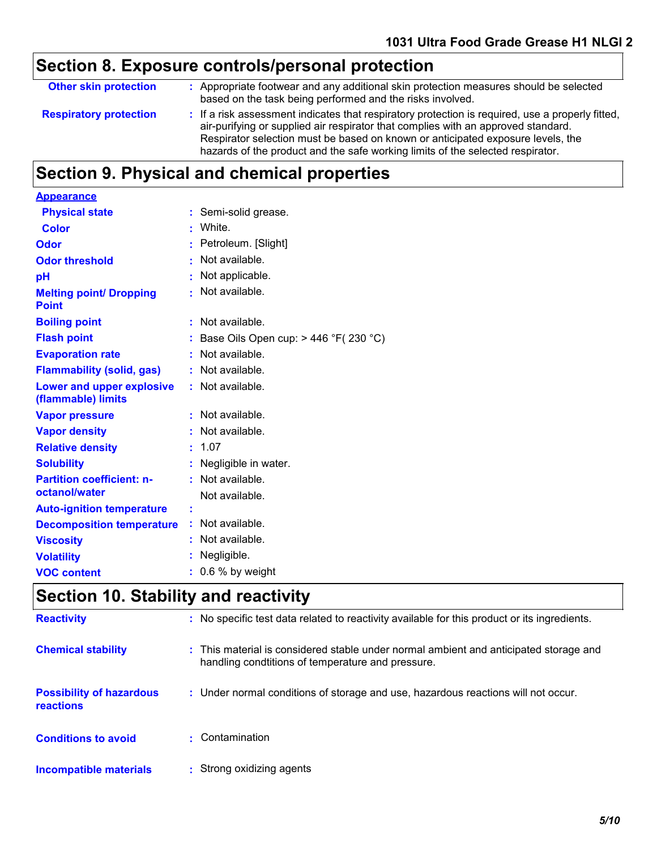# **Section 8. Exposure controls/personal protection**

| : Appropriate footwear and any additional skin protection measures should be selected<br><b>Other skin protection</b><br>based on the task being performed and the risks involved.<br>: If a risk assessment indicates that respiratory protection is required, use a properly fitted,<br><b>Respiratory protection</b><br>air-purifying or supplied air respirator that complies with an approved standard.<br>Respirator selection must be based on known or anticipated exposure levels, the<br>hazards of the product and the safe working limits of the selected respirator. |  |
|-----------------------------------------------------------------------------------------------------------------------------------------------------------------------------------------------------------------------------------------------------------------------------------------------------------------------------------------------------------------------------------------------------------------------------------------------------------------------------------------------------------------------------------------------------------------------------------|--|
|                                                                                                                                                                                                                                                                                                                                                                                                                                                                                                                                                                                   |  |
|                                                                                                                                                                                                                                                                                                                                                                                                                                                                                                                                                                                   |  |

## **Section 9. Physical and chemical properties**

| <b>Appearance</b>                               |                                        |
|-------------------------------------------------|----------------------------------------|
| <b>Physical state</b>                           | Semi-solid grease.                     |
| <b>Color</b>                                    | White.                                 |
| Odor                                            | Petroleum. [Slight]                    |
| <b>Odor threshold</b>                           | Not available.                         |
| рH                                              | Not applicable.                        |
| <b>Melting point/ Dropping</b><br><b>Point</b>  | Not available.                         |
| <b>Boiling point</b>                            | Not available.                         |
| <b>Flash point</b>                              | Base Oils Open cup: $>$ 446 °F(230 °C) |
| <b>Evaporation rate</b>                         | Not available.                         |
| <b>Flammability (solid, gas)</b>                | Not available.                         |
| Lower and upper explosive<br>(flammable) limits | $:$ Not available.                     |
| <b>Vapor pressure</b>                           | Not available.                         |
| <b>Vapor density</b>                            | Not available.                         |
| <b>Relative density</b>                         | 1.07                                   |
| <b>Solubility</b>                               | Negligible in water.                   |
| <b>Partition coefficient: n-</b>                | $:$ Not available.                     |
| octanol/water                                   | Not available.                         |
| <b>Auto-ignition temperature</b>                |                                        |
| <b>Decomposition temperature</b>                | Not available.                         |
| <b>Viscosity</b>                                | Not available.                         |
| <b>Volatility</b>                               | Negligible.                            |
| <b>VOC content</b>                              | 0.6 % by weight                        |

# **Section 10. Stability and reactivity**

| <b>Reactivity</b>                            | : No specific test data related to reactivity available for this product or its ingredients.                                               |
|----------------------------------------------|--------------------------------------------------------------------------------------------------------------------------------------------|
| <b>Chemical stability</b>                    | : This material is considered stable under normal ambient and anticipated storage and<br>handling condtitions of temperature and pressure. |
| <b>Possibility of hazardous</b><br>reactions | : Under normal conditions of storage and use, hazardous reactions will not occur.                                                          |
| <b>Conditions to avoid</b>                   | • Contamination                                                                                                                            |
| Incompatible materials                       | : Strong oxidizing agents                                                                                                                  |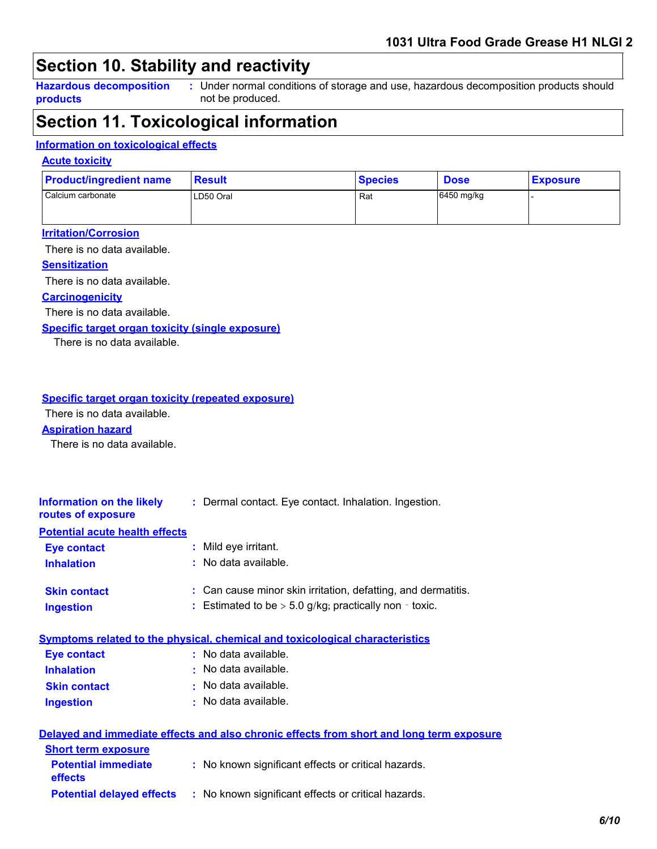## **Section 10. Stability and reactivity**

**Hazardous decomposition products**

Under normal conditions of storage and use, hazardous decomposition products should **:** not be produced.

### **Section 11. Toxicological information**

#### **Information on toxicological effects**

#### **Acute toxicity**

| <b>Product/ingredient name</b> | <b>Result</b> | <b>Species</b> | <b>Dose</b> | <b>Exposure</b> |
|--------------------------------|---------------|----------------|-------------|-----------------|
| l Calcium carbonate            | LD50 Oral     | Rat            | 6450 mg/kg  |                 |

#### **Irritation/Corrosion**

There is no data available.

#### **Sensitization**

There is no data available.

#### **Carcinogenicity**

There is no data available.

#### **Specific target organ toxicity (single exposure)**

There is no data available.

#### **Specific target organ toxicity (repeated exposure)**

There is no data available.

#### **Aspiration hazard**

There is no data available.

| Information on the likely<br>routes of exposure | : Dermal contact. Eye contact. Inhalation. Ingestion.                                    |
|-------------------------------------------------|------------------------------------------------------------------------------------------|
| <b>Potential acute health effects</b>           |                                                                                          |
| <b>Eye contact</b>                              | : Mild eye irritant.                                                                     |
| <b>Inhalation</b>                               | $:$ No data available.                                                                   |
| <b>Skin contact</b>                             | : Can cause minor skin irritation, defatting, and dermatitis.                            |
| <b>Ingestion</b>                                | : Estimated to be $>$ 5.0 g/kg; practically non - toxic.                                 |
|                                                 | Symptoms related to the physical, chemical and toxicological characteristics             |
| <b>Eye contact</b>                              | $:$ No data available.                                                                   |
| <b>Inhalation</b>                               | $\cdot$ No data available.                                                               |
| <b>Skin contact</b>                             | $\cdot$ No data available.                                                               |
| <b>Ingestion</b>                                | $\cdot$ No data available.                                                               |
|                                                 | Delayed and immediate effects and also chronic effects from short and long term exposure |

| <b>Short term exposure</b>                   |                                                     |
|----------------------------------------------|-----------------------------------------------------|
| <b>Potential immediate</b><br><b>effects</b> | : No known significant effects or critical hazards. |
| <b>Potential delayed effects</b>             | : No known significant effects or critical hazards. |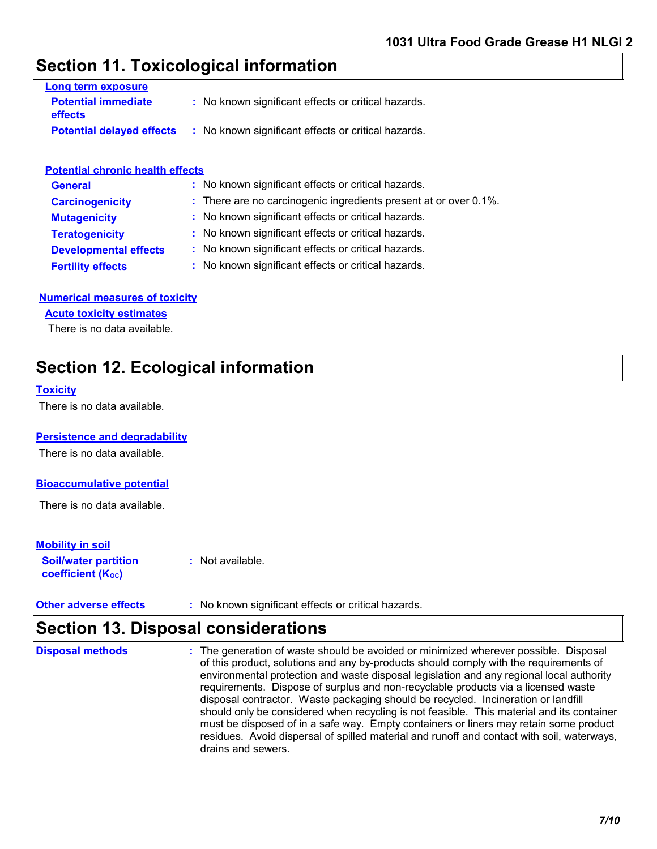### **Section 11. Toxicological information**

| Long term exposure                           |                                                     |
|----------------------------------------------|-----------------------------------------------------|
| <b>Potential immediate</b><br><b>effects</b> | : No known significant effects or critical hazards. |
| <b>Potential delayed effects</b>             | : No known significant effects or critical hazards. |

#### **Potential chronic health effects**

| <b>General</b>               | : No known significant effects or critical hazards.              |
|------------------------------|------------------------------------------------------------------|
| <b>Carcinogenicity</b>       | : There are no carcinogenic ingredients present at or over 0.1%. |
| <b>Mutagenicity</b>          | : No known significant effects or critical hazards.              |
| <b>Teratogenicity</b>        | : No known significant effects or critical hazards.              |
| <b>Developmental effects</b> | : No known significant effects or critical hazards.              |
| <b>Fertility effects</b>     | : No known significant effects or critical hazards.              |

#### **Numerical measures of toxicity**

#### **Acute toxicity estimates**

There is no data available.

## **Section 12. Ecological information**

#### **Toxicity**

There is no data available.

#### **Persistence and degradability**

There is no data available.

#### **Bioaccumulative potential**

There is no data available.

#### **Mobility in soil**

**Soil/water partition coefficient (Koc)** 

**:** Not available.

| <b>Other adverse effects</b><br>: No known significant effects or critical hazards. |  |
|-------------------------------------------------------------------------------------|--|
|-------------------------------------------------------------------------------------|--|

## **Section 13. Disposal considerations**

The generation of waste should be avoided or minimized wherever possible. Disposal of this product, solutions and any by-products should comply with the requirements of environmental protection and waste disposal legislation and any regional local authority requirements. Dispose of surplus and non-recyclable products via a licensed waste disposal contractor. Waste packaging should be recycled. Incineration or landfill should only be considered when recycling is not feasible. This material and its container must be disposed of in a safe way. Empty containers or liners may retain some product residues. Avoid dispersal of spilled material and runoff and contact with soil, waterways, drains and sewers. **Disposal methods :**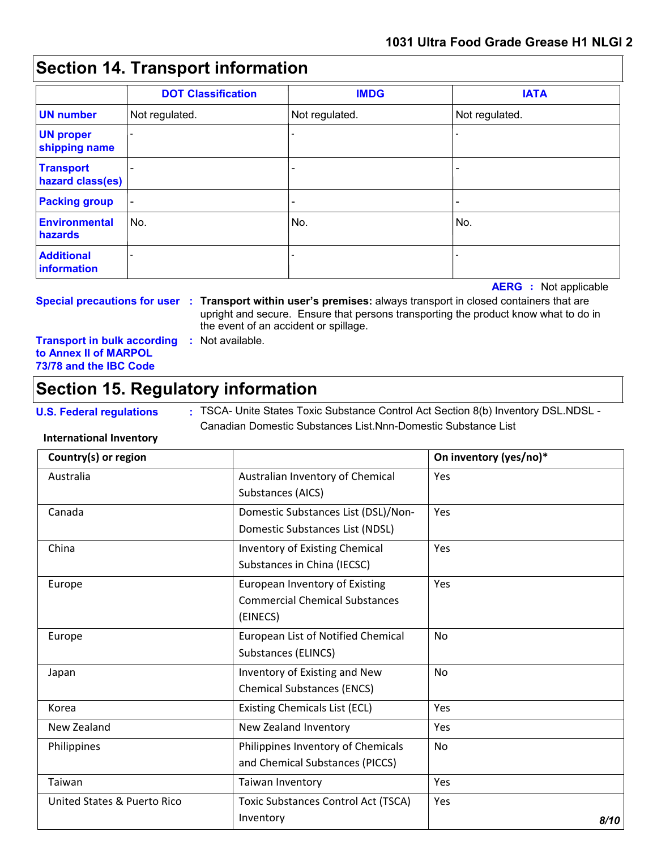## **Section 14. Transport information**

|                                      | <b>DOT Classification</b> | <b>IMDG</b>                  | <b>IATA</b>              |
|--------------------------------------|---------------------------|------------------------------|--------------------------|
| <b>UN number</b>                     | Not regulated.            | Not regulated.               | Not regulated.           |
| <b>UN proper</b><br>shipping name    |                           |                              |                          |
| <b>Transport</b><br>hazard class(es) |                           | -                            |                          |
| <b>Packing group</b>                 | $\overline{\phantom{a}}$  | $\qquad \qquad \blacksquare$ | $\overline{\phantom{0}}$ |
| <b>Environmental</b><br>hazards      | No.                       | No.                          | No.                      |
| <b>Additional</b><br>information     |                           |                              |                          |

**AERG :** Not applicable

**Special precautions for user : Transport within user's premises:** always transport in closed containers that are upright and secure. Ensure that persons transporting the product know what to do in the event of an accident or spillage.

**Transport in bulk according :** Not available. **to Annex II of MARPOL 73/78 and the IBC Code**

## **Section 15. Regulatory information**

**U.S. Federal regulations** : TSCA- Unite States Toxic Substance Control Act Section 8(b) Inventory DSL.NDSL -Canadian Domestic Substances List.Nnn-Domestic Substance List

#### **International Inventory**

| Country(s) or region                   |                                                                                     | On inventory (yes/no)* |
|----------------------------------------|-------------------------------------------------------------------------------------|------------------------|
| Australia                              | Australian Inventory of Chemical<br>Substances (AICS)                               | Yes                    |
| Canada                                 | Domestic Substances List (DSL)/Non-<br>Domestic Substances List (NDSL)              | <b>Yes</b>             |
| China                                  | Inventory of Existing Chemical<br>Substances in China (IECSC)                       | Yes                    |
| Europe                                 | European Inventory of Existing<br><b>Commercial Chemical Substances</b><br>(EINECS) | Yes                    |
| Europe                                 | <b>European List of Notified Chemical</b><br>Substances (ELINCS)                    | <b>No</b>              |
| Japan                                  | Inventory of Existing and New<br><b>Chemical Substances (ENCS)</b>                  | <b>No</b>              |
| Korea                                  | <b>Existing Chemicals List (ECL)</b>                                                | Yes                    |
| New Zealand                            | New Zealand Inventory                                                               | Yes                    |
| Philippines                            | Philippines Inventory of Chemicals<br>and Chemical Substances (PICCS)               | <b>No</b>              |
| Taiwan                                 | Taiwan Inventory                                                                    | Yes                    |
| <b>United States &amp; Puerto Rico</b> | <b>Toxic Substances Control Act (TSCA)</b><br>Inventory                             | Yes<br>8/10            |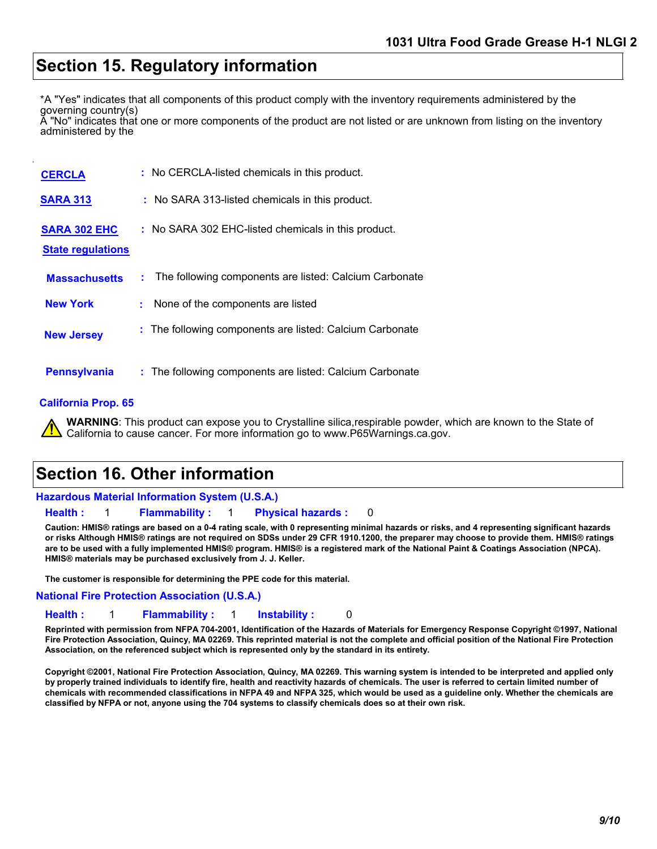### **Section 15. Regulatory information**

\*A "Yes" indicates that all components of this product comply with the inventory requirements administered by the

governing country(s) A "No" indicates that one or more components of the product are not listed or are unknown from listing on the inventory administered by the

| <b>CERCLA</b>                                   | : No CERCLA-listed chemicals in this product.                |
|-------------------------------------------------|--------------------------------------------------------------|
| <b>SARA 313</b>                                 | : No SARA 313-listed chemicals in this product.              |
| <b>SARA 302 EHC</b><br><b>State regulations</b> | : No SARA 302 EHC-listed chemicals in this product.          |
| <b>Massachusetts</b>                            | The following components are listed: Calcium Carbonate<br>t. |
| <b>New York</b>                                 | None of the components are listed<br>÷.                      |
| <b>New Jersey</b>                               | : The following components are listed: Calcium Carbonate     |
| <b>Pennsylvania</b>                             | : The following components are listed: Calcium Carbonate     |

#### **California Prop. 65**

**WARNING**: This product can expose you to Crystalline silica,respirable powder, which are known to the State of California to cause cancer. For more information go to www.P65Warnings.ca.gov.

### **Section 16. Other information**

#### **Hazardous Material Information System (U.S.A.)**

**Health :** 1 **Flammability :** 1 **Physical hazards :** 0

**Caution: HMIS® ratings are based on a 0-4 rating scale, with 0 representing minimal hazards or risks, and 4 representing significant hazards or risks Although HMIS® ratings are not required on SDSs under 29 CFR 1910.1200, the preparer may choose to provide them. HMIS® ratings are to be used with a fully implemented HMIS® program. HMIS® is a registered mark of the National Paint & Coatings Association (NPCA). HMIS® materials may be purchased exclusively from J. J. Keller.**

**The customer is responsible for determining the PPE code for this material.**

#### **National Fire Protection Association (U.S.A.)**

**Health :** 1 **Flammability :** 1 **Instability :** 0

**Reprinted with permission from NFPA 704-2001, Identification of the Hazards of Materials for Emergency Response Copyright ©1997, National Fire Protection Association, Quincy, MA 02269. This reprinted material is not the complete and official position of the National Fire Protection Association, on the referenced subject which is represented only by the standard in its entirety.**

**Copyright ©2001, National Fire Protection Association, Quincy, MA 02269. This warning system is intended to be interpreted and applied only by properly trained individuals to identify fire, health and reactivity hazards of chemicals. The user is referred to certain limited number of chemicals with recommended classifications in NFPA 49 and NFPA 325, which would be used as a guideline only. Whether the chemicals are classified by NFPA or not, anyone using the 704 systems to classify chemicals does so at their own risk.**